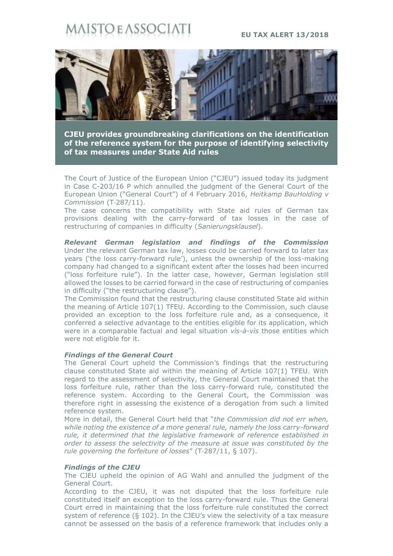# ISTO E ASSOCI

## **EU TAX ALERT 13/2018**



**CJEU provides groundbreaking clarifications on the identification of the reference system for the purpose of identifying selectivity of tax measures under State Aid rules**

The Court of Justice of the European Union ("CJEU") issued today its judgment in Case C-203/16 P which annulled the judgment of the General Court of the European Union ("General Court") of 4 February 2016, *Heitkamp BauHolding v Commission* (T‑287/11).

The case concerns the compatibility with State aid rules of German tax provisions dealing with the carry-forward of tax losses in the case of restructuring of companies in difficulty (*Sanierungsklausel*).

*Relevant German legislation and findings of the Commission* Under the relevant German tax law, losses could be carried forward to later tax years ('the loss carry-forward rule'), unless the ownership of the loss-making company had changed to a significant extent after the losses had been incurred ("loss forfeiture rule"). In the latter case, however, German legislation still allowed the losses to be carried forward in the case of restructuring of companies in difficulty ("the restructuring clause").

The Commission found that the restructuring clause constituted State aid within the meaning of Article 107(1) TFEU. According to the Commission, such clause provided an exception to the loss forfeiture rule and, as a consequence, it conferred a selective advantage to the entities eligible for its application, which were in a comparable factual and legal situation *vìs-à-vìs* those entities which were not eligible for it.

### *Findings of the General Court*

The General Court upheld the Commission's findings that the restructuring clause constituted State aid within the meaning of Article 107(1) TFEU. With regard to the assessment of selectivity, the General Court maintained that the loss forfeiture rule, rather than the loss carry-forward rule, constituted the reference system. According to the General Court, the Commission was therefore right in assessing the existence of a derogation from such a limited reference system.

More in detail, the General Court held that "*the Commission did not err when, while noting the existence of a more general rule, namely the loss carry-forward rule, it determined that the legislative framework of reference established in order to assess the selectivity of the measure at issue was constituted by the rule governing the forfeiture of losses*" (T‑287/11, § 107).

# *Findings of the CJEU*

The CJEU upheld the opinion of AG Wahl and annulled the judgment of the General Court.

According to the CJEU, it was not disputed that the loss forfeiture rule constituted itself an exception to the loss carry-forward rule. Thus the General Court erred in maintaining that the loss forfeiture rule constituted the correct system of reference ( $\S$  102). In the CJEU's view the selectivity of a tax measure cannot be assessed on the basis of a reference framework that includes only a